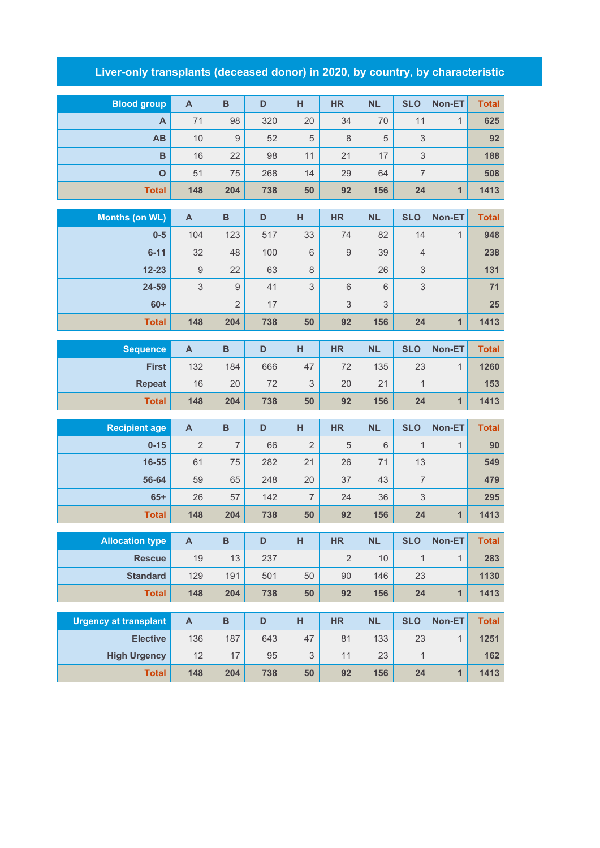## **Liver-only transplants (deceased donor) in 2020, by country, by characteristic**

| <b>Blood group</b>                  | $\boldsymbol{\mathsf{A}}$ | $\overline{B}$ | D         | H                               | <b>HR</b>      | <b>NL</b>   | <b>SLO</b>     | Non-ET         | <b>Total</b> |
|-------------------------------------|---------------------------|----------------|-----------|---------------------------------|----------------|-------------|----------------|----------------|--------------|
| A                                   | 71                        | 98             | 320       | 20                              | 34             | 70          | 11             | $\mathbf{1}$   | 625          |
| AB                                  | 10                        | 9              | 52        | 5                               | 8              | $\sqrt{5}$  | 3              |                | 92           |
| B                                   | 16                        | 22             | 98        | 11                              | 21             | 17          | 3              |                | 188          |
| $\overline{O}$                      | 51                        | 75             | 268       | 14                              | 29             | 64          | $\overline{7}$ |                | 508          |
| <b>Total</b>                        | 148                       | 204            | 738       | 50                              | 92             | 156         | 24             | $\mathbf{1}$   | 1413         |
|                                     |                           |                |           |                                 |                |             |                |                |              |
| <b>Months (on WL)</b>               | A                         | $\overline{B}$ | D         | $\overline{H}$                  | <b>HR</b>      | <b>NL</b>   | <b>SLO</b>     | Non-ET         | <b>Total</b> |
| $0-5$                               | 104                       | 123            | 517       | 33                              | 74             | 82          | 14             | $\mathbf{1}$   | 948          |
| $6 - 11$                            | 32                        | 48             | 100       | $6\,$                           | 9              | 39          | $\overline{4}$ |                | 238          |
| $12 - 23$                           | $\hbox{9}$                | 22             | 63        | $\,8\,$                         |                | 26          | 3              |                | 131          |
| 24-59                               | 3                         | $\hbox{9}$     | 41        | 3                               | 6              | $6\,$       | 3              |                | 71           |
| $60+$                               |                           | $\overline{2}$ | 17        |                                 | 3              | $\mathsf 3$ |                |                | 25           |
| <b>Total</b>                        | 148                       | 204            | 738       | 50                              | 92             | 156         | 24             | $\overline{1}$ | 1413         |
| <b>Sequence</b>                     | $\mathsf{A}$              | $\overline{B}$ | D         | $\overline{H}$                  | <b>HR</b>      | <b>NL</b>   | <b>SLO</b>     | Non-ET         | <b>Total</b> |
| <b>First</b>                        | 132                       | 184            | 666       | 47                              | 72             | 135         | 23             | $\mathbf{1}$   | 1260         |
| <b>Repeat</b>                       | 16                        | 20             | 72        | 3                               | 20             | 21          | $\mathbf{1}$   |                | 153          |
| <b>Total</b>                        | 148                       | 204            | 738       | 50                              | 92             | 156         | 24             | 1              | 1413         |
|                                     |                           |                |           |                                 |                |             |                |                |              |
| <b>Recipient age</b>                | $\mathsf{A}$              | $\overline{B}$ | D         | H                               | <b>HR</b>      | <b>NL</b>   | <b>SLO</b>     | Non-ET         | <b>Total</b> |
| $0 - 15$                            | $\overline{2}$            | $\overline{7}$ | 66        | $\overline{2}$                  | 5              | 6           | $\mathbf{1}$   | $\mathbf{1}$   | 90           |
| 16-55                               | 61                        | 75             | 282       | 21                              | 26             | 71          | 13             |                | 549          |
| 56-64                               | 59                        | 65             | 248       | 20                              | 37             | 43          | $\overline{7}$ |                | 479          |
| $65+$                               | 26                        | 57             | 142       | $\overline{7}$                  | 24             | 36          | 3              |                | 295          |
| <b>Total</b>                        | 148                       | 204            | 738       | 50                              | 92             | 156         | 24             | $\overline{1}$ | 1413         |
| <b>Allocation type</b>              | $\boldsymbol{\mathsf{A}}$ | B              | D         | H                               | <b>HR</b>      | <b>NL</b>   | <b>SLO</b>     | Non-ET         | Total        |
| <b>Rescue</b>                       | 19                        | 13             | 237       |                                 | $\overline{2}$ | 10          | 1              | $\mathbf{1}$   | 283          |
| <b>Standard</b>                     | 129                       | 191            | 501       | 50                              | $90\,$         | 146         | 23             |                | 1130         |
| <b>Total</b>                        | 148                       | 204            | 738       | 50                              | 92             | 156         | 24             | $\mathbf{1}$   | 1413         |
|                                     |                           |                |           |                                 |                |             |                |                |              |
|                                     |                           |                |           |                                 |                |             |                |                |              |
| <b>Urgency at transplant</b>        | $\boldsymbol{\mathsf{A}}$ | $\, {\bf B}$   | D         | H                               | <b>HR</b>      | NL          | <b>SLO</b>     | Non-ET         | <b>Total</b> |
| <b>Elective</b>                     | 136                       | 187            | 643       | 47                              | 81             | 133         | 23             | $\mathbf{1}$   | 1251         |
| <b>High Urgency</b><br><b>Total</b> | 12<br>148                 | 17<br>204      | 95<br>738 | $\ensuremath{\mathsf{3}}$<br>50 | 11<br>92       | 23<br>156   | 1<br>24        | $\mathbf{1}$   | 162<br>1413  |